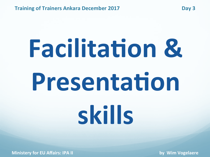# **Facilitation & Presentation skills**

**Ministery for EU Affairs: IPA II by Wim Vogelaere**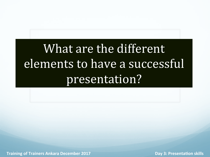## What are the different elements to have a successful presentation?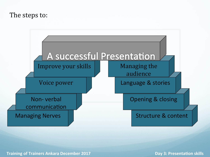#### The steps to:

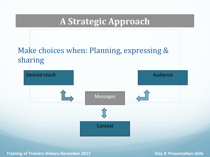#### **A Strategic Approach**

#### Make choices when: Planning, expressing & sharing

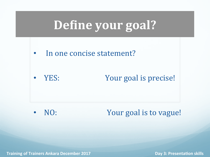## **Define your goal?**

• In one concise statement?

• YES: Your goal is precise!

• NO: Your goal is to vague!

**Training of Trainers Ankara December 2017** *Manual Community Community Community Community Community Community Community Community Community Community Community Community Community Community Community Community Community*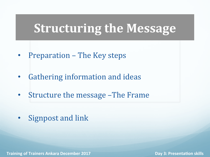## **Structuring the Message**

- Preparation The Key steps
- Gathering information and ideas
- Structure the message –The Frame
- Signpost and link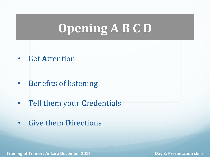## **Opening A B C D**

• Get **A**ttention 

- **Benefits of listening**
- Tell them your **Credentials**
- Give them **Directions**

**Training of Trainers Ankara December 2017** *Manual Community Community Community Community Community Community Community Community Community Community Community Community Community Community Community Community Community*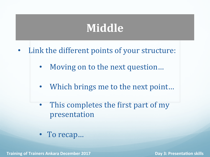## **Middle**

- Link the different points of your structure:
	- Moving on to the next question...
	- Which brings me to the next point...
	- This completes the first part of my presentation
	- To recap...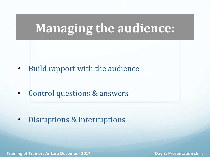## **Managing the audience:**

• Build rapport with the audience

Control questions & answers

• Disruptions & interruptions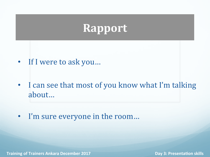## **Rapport**

- If I were to ask you...
- I can see that most of you know what I'm talking about…
- I'm sure everyone in the room...

**Training of Trainers Ankara December 2017 Day 3: PresentaDon skills**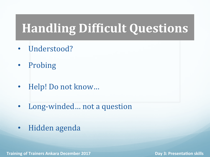## **Handling Difficult Questions**

- Understood?
- Probing
- Help! Do not know...
- Long-winded... not a question
- Hidden agenda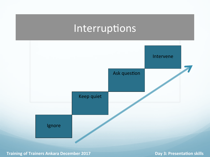## Interruptions



**Training of Trainers Ankara December 2017 Day 3: PresentaDon skills**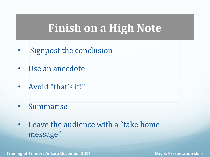## **Finish on a High Note**

- Signpost the conclusion
- Use an anecdote
- Avoid "that's it!"
- Summarise
- Leave the audience with a "take home" message"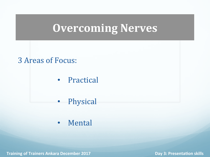## **Overcoming Nerves**

#### 3 Areas of Focus:

- Practical
- Physical
- Mental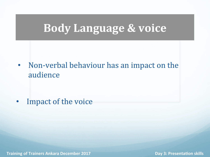## **Body Language & voice**

• Non-verbal behaviour has an impact on the audience 

• Impact of the voice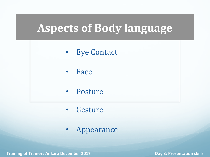## **Aspects of Body language**

- Eye Contact
- Face
- Posture
- **Gesture**
- Appearance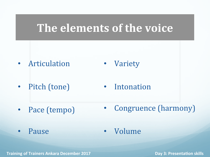## **The elements of the voice**

- Articulation • Variety
- Pitch (tone) • Intonation
- Pace (tempo) • Congruence (harmony)
- Pause Volume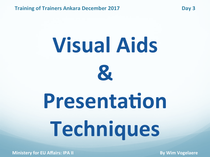# **Visual Aids &**

## **Presentation Techniques**

**Ministery for EU Affairs: IPA II By Wim Vogelaere**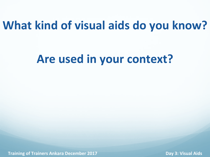## **What kind of visual aids do you know?**

## Are used in your context?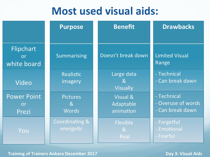## **Most used visual aids:**

|                                       | <b>Purpose</b>                                    | <b>Benefit</b>                                  | <b>Drawbacks</b>                                      |
|---------------------------------------|---------------------------------------------------|-------------------------------------------------|-------------------------------------------------------|
| Flipchart<br><b>or</b><br>white board | Summarising                                       | Doesn't break down                              | <b>Limited Visual</b><br>Range                        |
| Video                                 | <b>Realistic</b><br>imagery                       | Large data<br>8 <sub>k</sub><br><b>Visually</b> | - Technical<br>- Can break dawn                       |
| <b>Power Point</b><br>or<br>Prezi     | <b>Pictures</b><br>8 <sub>l</sub><br><b>Words</b> | Visual &<br>Adaptable<br>animation              | - Technical<br>- Overuse of words<br>- Can break dawn |
| You                                   | <b>Coordinating &amp;</b><br>energetic            | Flexible<br>8 <sub>l</sub><br>Real              | Forgetful<br>Emotional<br>Fearful                     |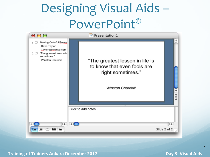## Designing Visual Aids -PowerPoint®



**Training of Trainers Ankara December 2017** *Compact Compact Compact Compact Compact Compact Compact Compact Compact Compact Compact Compact Compact Compact Compact Compact Compact Compact Compact Compact Compact Compact* 

4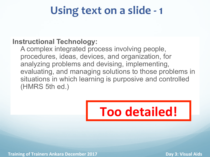## Using text on a slide - 1

#### **Instructional Technology:**

A complex integrated process involving people, procedures, ideas, devices, and organization, for analyzing problems and devising, implementing, evaluating, and managing solutions to those problems in situations in which learning is purposive and controlled (HMRS 5th ed.)



**Training of Trainers Ankara December 2017** *Compact 10. Training of Trainiers Ankara December 2017**Day 3: Visual Aids*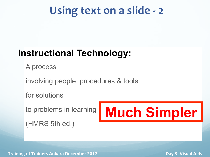## Using text on a slide - 2

### **Instructional Technology:**

A process

involving people, procedures & tools

for solutions

to problems in learning

(HMRS 5th ed.)

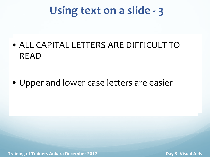## Using text on a slide - 3

- **ALL CAPITAL LETTERS ARE DIFFICULT TO**  $RFAD$ • ALL CAPITAL LETTERS ARE DIFFICULT TO READ
- $\bullet$  Upper and lower case letters are easier • Upper and lower case letters are easier

**Training of Trainers Ankara December 2017 1998 12017 Day 3: Visual Aids**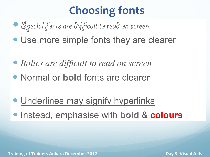## **Choosing fonts**

- Special fonts are difficult to read on screen
- Use more simple fonts they are clearer
- *Italics are difficult to read on screen*
- Normal or **bold** fonts are clearer
- Underlines may signify hyperlinks **• Instead, emphasise with bold & colours**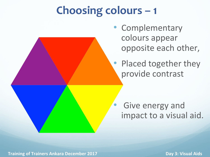## **Choosing colours - 1**

• Complementary colours appear opposite each other,

• Placed together they provide contrast

Give energy and impact to a visual aid.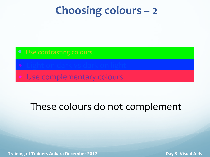## **Choosing colours – 2**

- 
- 
- Use complementary colours

## These colours do not complement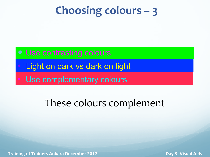## **Choosing colours – 3**

- Use contrasting colours
- Light on dark vs dark on light
- Use complementary colours

## These colours complement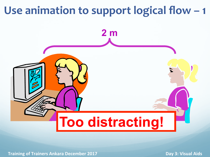## Use animation to support logical flow - 1

# **2 m Too distracting!**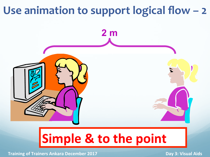## Use animation to support logical flow - 2



## **Simple & to the point**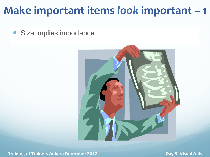## **Make important items look important - 1**

• Size implies importance

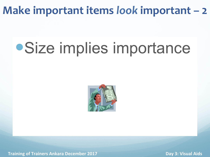## **Make important items look important – 2**

## Size implies importance



**Training of Trainers Ankara December 2017** *Compact 10. Training of Trainiers Ankara December 2017**Day 3: Visual Aids*